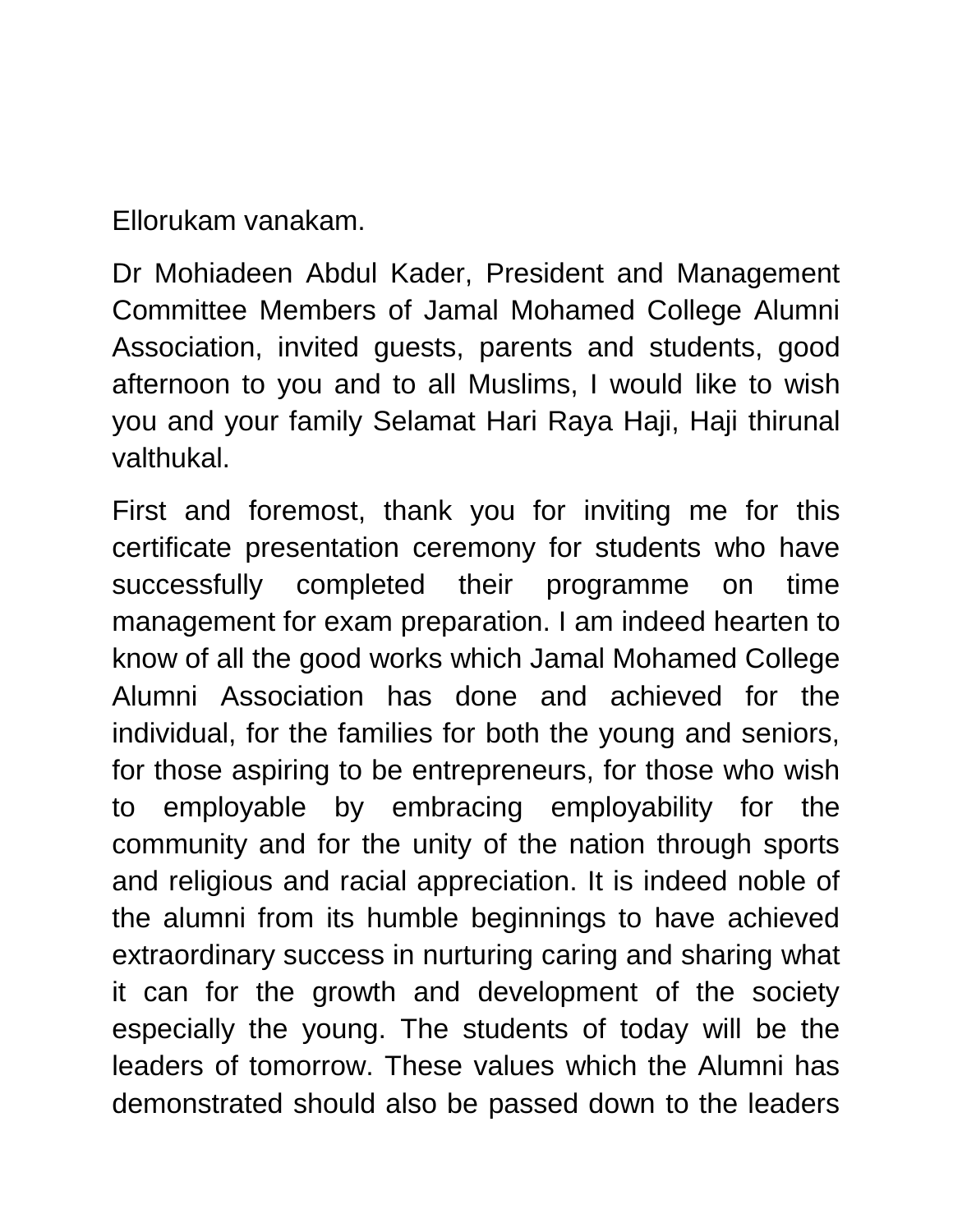Ellorukam vanakam.

Dr Mohiadeen Abdul Kader, President and Management Committee Members of Jamal Mohamed College Alumni Association, invited guests, parents and students, good afternoon to you and to all Muslims, I would like to wish you and your family Selamat Hari Raya Haji, Haji thirunal valthukal.

First and foremost, thank you for inviting me for this certificate presentation ceremony for students who have successfully completed their programme on time management for exam preparation. I am indeed hearten to know of all the good works which Jamal Mohamed College Alumni Association has done and achieved for the individual, for the families for both the young and seniors, for those aspiring to be entrepreneurs, for those who wish to employable by embracing employability for the community and for the unity of the nation through sports and religious and racial appreciation. It is indeed noble of the alumni from its humble beginnings to have achieved extraordinary success in nurturing caring and sharing what it can for the growth and development of the society especially the young. The students of today will be the leaders of tomorrow. These values which the Alumni has demonstrated should also be passed down to the leaders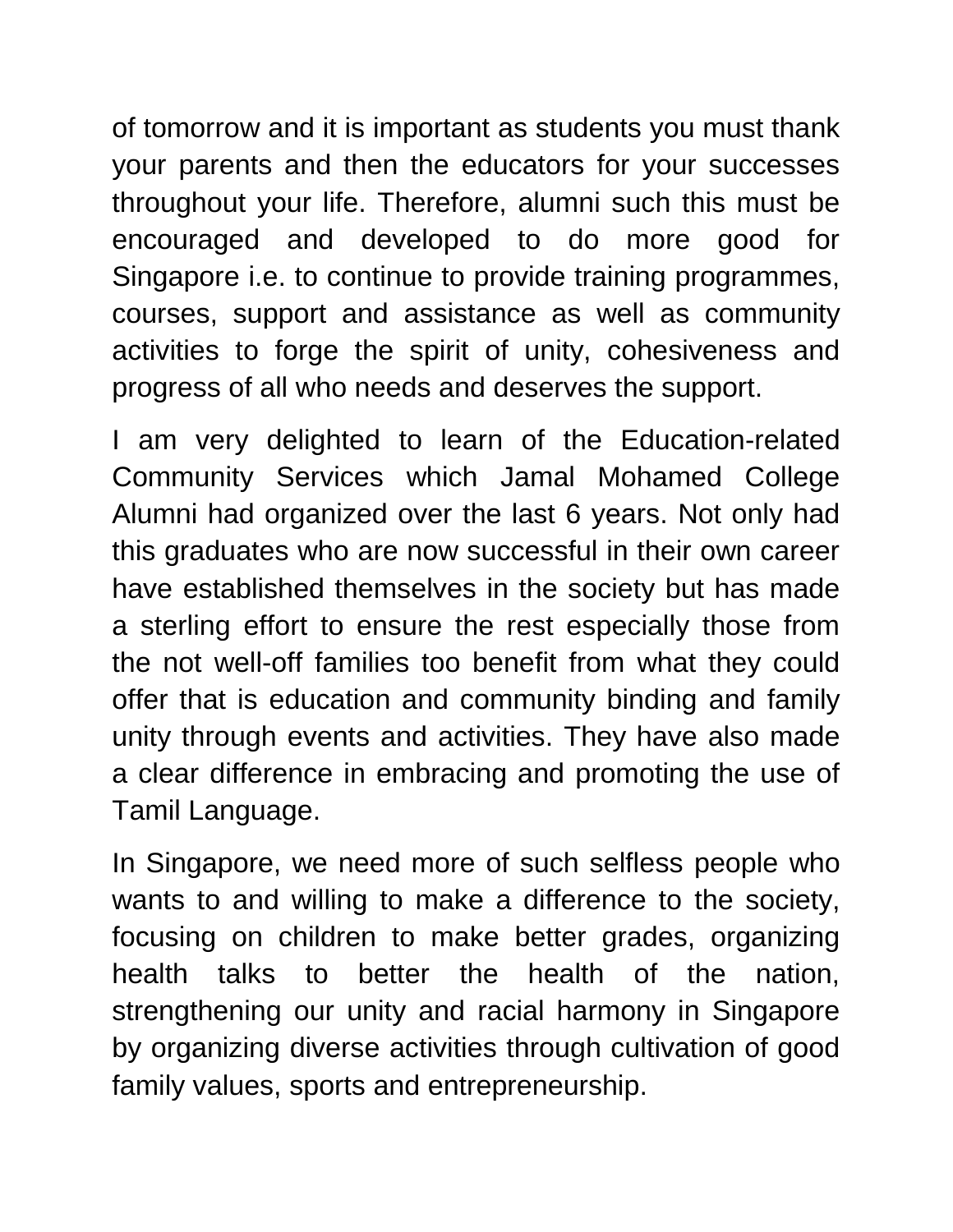of tomorrow and it is important as students you must thank your parents and then the educators for your successes throughout your life. Therefore, alumni such this must be encouraged and developed to do more good for Singapore i.e. to continue to provide training programmes, courses, support and assistance as well as community activities to forge the spirit of unity, cohesiveness and progress of all who needs and deserves the support.

I am very delighted to learn of the Education-related Community Services which Jamal Mohamed College Alumni had organized over the last 6 years. Not only had this graduates who are now successful in their own career have established themselves in the society but has made a sterling effort to ensure the rest especially those from the not well-off families too benefit from what they could offer that is education and community binding and family unity through events and activities. They have also made a clear difference in embracing and promoting the use of Tamil Language.

In Singapore, we need more of such selfless people who wants to and willing to make a difference to the society, focusing on children to make better grades, organizing health talks to better the health of the nation, strengthening our unity and racial harmony in Singapore by organizing diverse activities through cultivation of good family values, sports and entrepreneurship.